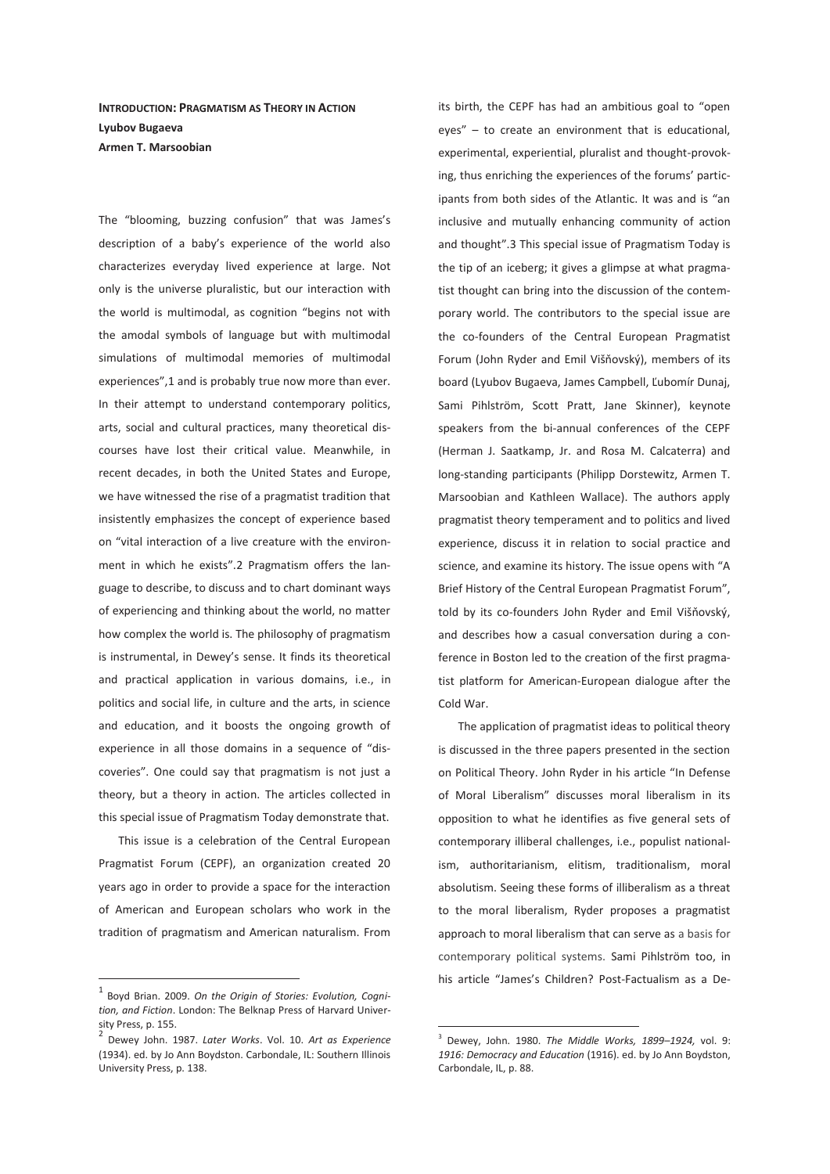**INTRODUCTION: PRAGMATISM AS THEORY IN ACTION Lyubov Bugaeva Armen T. Marsoobian** 

The "blooming, buzzing confusion" that was James's description of a baby's experience of the world also characterizes everyday lived experience at large. Not only is the universe pluralistic, but our interaction with the world is multimodal, as cognition "begins not with the amodal symbols of language but with multimodal simulations of multimodal memories of multimodal experiences",1 and is probably true now more than ever. In their attempt to understand contemporary politics, arts, social and cultural practices, many theoretical discourses have lost their critical value. Meanwhile, in recent decades, in both the United States and Europe, we have witnessed the rise of a pragmatist tradition that insistently emphasizes the concept of experience based on "vital interaction of a live creature with the environment in which he exists".2 Pragmatism offers the language to describe, to discuss and to chart dominant ways of experiencing and thinking about the world, no matter how complex the world is. The philosophy of pragmatism is instrumental, in Dewey's sense. It finds its theoretical and practical application in various domains, i.e., in politics and social life, in culture and the arts, in science and education, and it boosts the ongoing growth of experience in all those domains in a sequence of "discoveries". One could say that pragmatism is not just a theory, but a theory in action. The articles collected in this special issue of Pragmatism Today demonstrate that.

This issue is a celebration of the Central European Pragmatist Forum (CEPF), an organization created 20 years ago in order to provide a space for the interaction of American and European scholars who work in the tradition of pragmatism and American naturalism. From

 $\overline{a}$ 

its birth, the CEPF has had an ambitious goal to "open eyes" – to create an environment that is educational, experimental, experiential, pluralist and thought-provoking, thus enriching the experiences of the forums' participants from both sides of the Atlantic. It was and is "an inclusive and mutually enhancing community of action and thought".3 This special issue of Pragmatism Today is the tip of an iceberg; it gives a glimpse at what pragmatist thought can bring into the discussion of the contemporary world. The contributors to the special issue are the co-founders of the Central European Pragmatist Forum (John Ryder and Emil Višňovský), members of its board (Lyubov Bugaeva, James Campbell, Ľubomír Dunaj, Sami Pihlström, Scott Pratt, Jane Skinner), keynote speakers from the bi-annual conferences of the CEPF (Herman J. Saatkamp, Jr. and Rosa M. Calcaterra) and long-standing participants (Philipp Dorstewitz, Armen T. Marsoobian and Kathleen Wallace). The authors apply pragmatist theory temperament and to politics and lived experience, discuss it in relation to social practice and science, and examine its history. The issue opens with "A Brief History of the Central European Pragmatist Forum", told by its co-founders John Ryder and Emil Višňovský, and describes how a casual conversation during a conference in Boston led to the creation of the first pragmatist platform for American-European dialogue after the Cold War.

The application of pragmatist ideas to political theory is discussed in the three papers presented in the section on Political Theory. John Ryder in his article "In Defense of Moral Liberalism" discusses moral liberalism in its opposition to what he identifies as five general sets of contemporary illiberal challenges, i.e., populist nationalism, authoritarianism, elitism, traditionalism, moral absolutism. Seeing these forms of illiberalism as a threat to the moral liberalism, Ryder proposes a pragmatist approach to moral liberalism that can serve as a basis for contemporary political systems. Sami Pihlström too, in his article "James's Children? Post-Factualism as a De-

-

<sup>1</sup> Boyd Brian. 2009. *On the Origin of Stories: Evolution, Cognition, and Fiction*. London: The Belknap Press of Harvard University Press, p. 155.

<sup>2</sup> Dewey John. 1987. *Later Works*. Vol. 10. *Art as Experience* (1934). ed. by Jo Ann Boydston. Carbondale, IL: Southern Illinois University Press, p. 138.

<sup>3</sup> Dewey, John. 1980. *The Middle Works, 1899–1924,* vol. 9: *1916: Democracy and Education* (1916). ed. by Jo Ann Boydston, Carbondale, IL, p. 88.